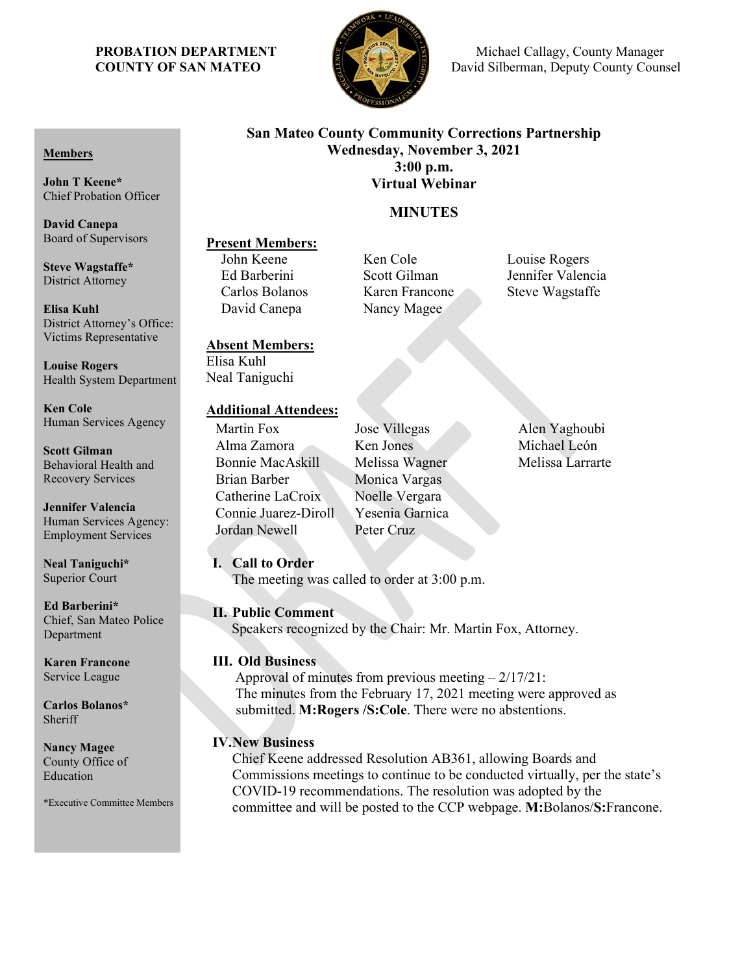

**PROBATION DEPARTMENT S Michael Callagy, County Manager COUNTY OF SAN MATEO David Silberman, Deputy County Counsel** 

# **San Mateo County Community Corrections Partnership Wednesday, November 3, 2021 3:00 p.m. Virtual Webinar**

# **MINUTES**

Ken Cole Louise Rogers

# **Present Members:**<br>John Keene

Ed Barberini Scott Gilman Jennifer Valencia Carlos Bolanos Karen Francone Steve Wagstaffe David Canepa Nancy Magee

# **Absent Members:**

Elisa Kuhl Neal Taniguchi

# **Additional Attendees:**

Alma Zamora Ken Jones Michael León Bonnie MacAskill Melissa Wagner Melissa Larrarte Brian Barber Monica Vargas Catherine LaCroix Noelle Vergara Connie Juarez-Diroll Yesenia Garnica Jordan Newell Peter Cruz

Martin Fox Jose Villegas Alen Yaghoubi

# **I. Call to Order**

The meeting was called to order at 3:00 p.m.

# **II. Public Comment**

Speakers recognized by the Chair: Mr. Martin Fox, Attorney.

# **III. Old Business**

Approval of minutes from previous meeting  $-2/17/21$ : The minutes from the February 17, 2021 meeting were approved as submitted. **M:Rogers /S:Cole**. There were no abstentions.

# **IV.New Business**

Chief Keene addressed Resolution AB361, allowing Boards and Commissions meetings to continue to be conducted virtually, per the state's COVID-19 recommendations. The resolution was adopted by the committee and will be posted to the CCP webpage. **M:**Bolanos/**S:**Francone.

### **Members**

**John T Keene\*** Chief Probation Officer

**David Canepa** Board of Supervisors

**Steve Wagstaffe\*** District Attorney

**Elisa Kuhl** District Attorney's Office: Victims Representative

**Louise Rogers** Health System Department

**Ken Cole** Human Services Agency

**Scott Gilman** Behavioral Health and Recovery Services

**Jennifer Valencia** Human Services Agency: Employment Services

**Neal Taniguchi\*** Superior Court

**Ed Barberini\*** Chief, San Mateo Police Department

**Karen Francone** Service League

**Carlos Bolanos\*** Sheriff

**Nancy Magee** County Office of Education

\*Executive Committee Members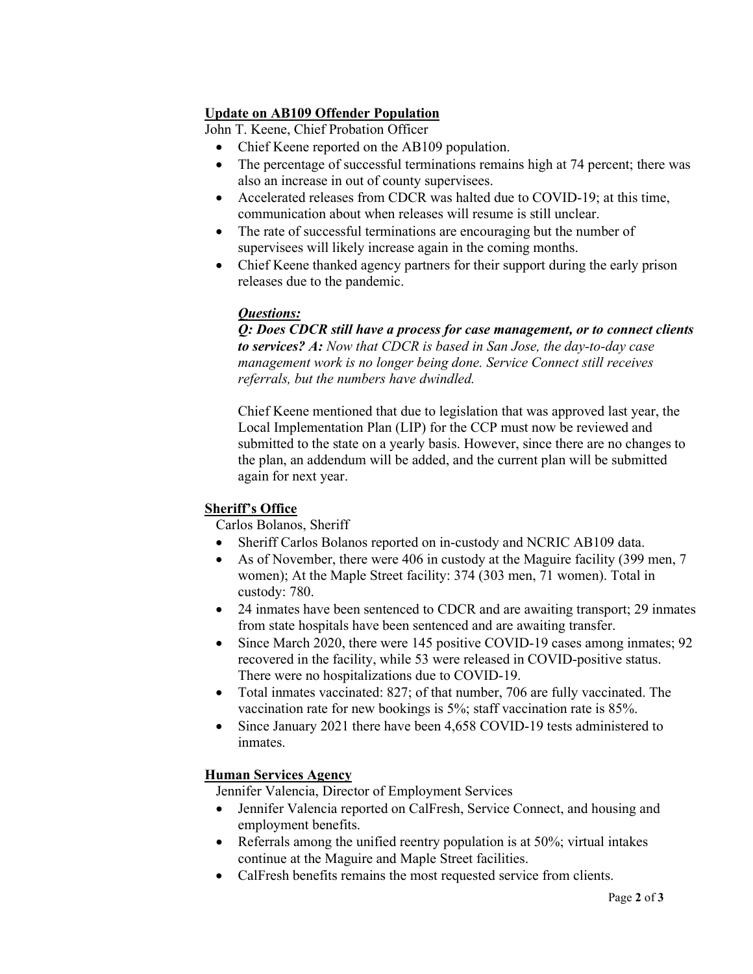# **Update on AB109 Offender Population**

John T. Keene, Chief Probation Officer

- Chief Keene reported on the AB109 population.
- The percentage of successful terminations remains high at 74 percent; there was also an increase in out of county supervisees.
- Accelerated releases from CDCR was halted due to COVID-19; at this time, communication about when releases will resume is still unclear.
- The rate of successful terminations are encouraging but the number of supervisees will likely increase again in the coming months.
- Chief Keene thanked agency partners for their support during the early prison releases due to the pandemic.

# *Questions:*

*Q: Does CDCR still have a process for case management, or to connect clients to services? A: Now that CDCR is based in San Jose, the day-to-day case management work is no longer being done. Service Connect still receives referrals, but the numbers have dwindled.*

Chief Keene mentioned that due to legislation that was approved last year, the Local Implementation Plan (LIP) for the CCP must now be reviewed and submitted to the state on a yearly basis. However, since there are no changes to the plan, an addendum will be added, and the current plan will be submitted again for next year.

# **Sheriff's Office**

Carlos Bolanos, Sheriff

- Sheriff Carlos Bolanos reported on in-custody and NCRIC AB109 data.
- As of November, there were 406 in custody at the Maguire facility (399 men, 7) women); At the Maple Street facility: 374 (303 men, 71 women). Total in custody: 780.
- 24 inmates have been sentenced to CDCR and are awaiting transport; 29 inmates from state hospitals have been sentenced and are awaiting transfer.
- Since March 2020, there were 145 positive COVID-19 cases among inmates; 92 recovered in the facility, while 53 were released in COVID-positive status. There were no hospitalizations due to COVID-19.
- Total inmates vaccinated: 827; of that number, 706 are fully vaccinated. The vaccination rate for new bookings is 5%; staff vaccination rate is 85%.
- Since January 2021 there have been 4,658 COVID-19 tests administered to inmates.

# **Human Services Agency**

Jennifer Valencia, Director of Employment Services

- Jennifer Valencia reported on CalFresh, Service Connect, and housing and employment benefits.
- Referrals among the unified reentry population is at 50%; virtual intakes continue at the Maguire and Maple Street facilities.
- CalFresh benefits remains the most requested service from clients.